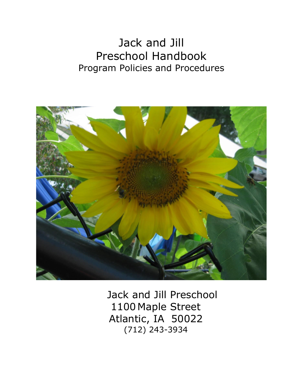# Jack and Jill Preschool Handbook Program Policies and Procedures



 Jack and Jill Preschool 1100 Maple Street Atlantic, IA 50022 (712) 243-3934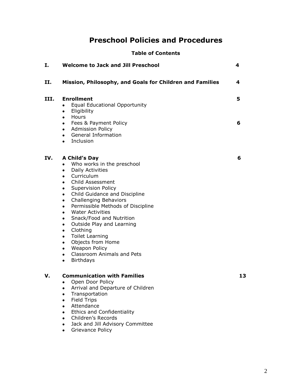# **Preschool Policies and Procedures**

| <b>Table of Contents</b> |  |  |
|--------------------------|--|--|
|                          |  |  |

| Ι.   | <b>Welcome to Jack and Jill Preschool</b>                                                                                                                                                                                                                                                                                                                                                                                                                                                                                                                                                                                                                      | 4      |
|------|----------------------------------------------------------------------------------------------------------------------------------------------------------------------------------------------------------------------------------------------------------------------------------------------------------------------------------------------------------------------------------------------------------------------------------------------------------------------------------------------------------------------------------------------------------------------------------------------------------------------------------------------------------------|--------|
| П.   | Mission, Philosophy, and Goals for Children and Families                                                                                                                                                                                                                                                                                                                                                                                                                                                                                                                                                                                                       | 4      |
| III. | <b>Enrollment</b><br><b>Equal Educational Opportunity</b><br>$\bullet$<br>Eligibility<br>$\bullet$<br>Hours<br>$\bullet$<br>Fees & Payment Policy<br>$\bullet$<br>• Admission Policy<br>• General Information<br>Inclusion<br>$\bullet$                                                                                                                                                                                                                                                                                                                                                                                                                        | 5<br>6 |
| IV.  | A Child's Day<br>Who works in the preschool<br>$\bullet$<br><b>Daily Activities</b><br>$\bullet$<br>Curriculum<br>$\bullet$<br>Child Assessment<br>$\bullet$<br><b>Supervision Policy</b><br>٠<br>Child Guidance and Discipline<br>$\bullet$<br><b>Challenging Behaviors</b><br>$\bullet$<br>Permissible Methods of Discipline<br>٠<br><b>Water Activities</b><br>$\bullet$<br>Snack/Food and Nutrition<br>٠<br>Outside Play and Learning<br>$\bullet$<br>Clothing<br>$\bullet$<br><b>Toilet Learning</b><br>$\bullet$<br>Objects from Home<br>$\bullet$<br>• Weapon Policy<br><b>Classroom Animals and Pets</b><br>$\bullet$<br><b>Birthdays</b><br>$\bullet$ | 6      |
| v.   | <b>Communication with Families</b><br>Open Door Policy<br>Arrival and Departure of Children<br>Transportation<br><b>Field Trips</b><br>٠<br>Attendance<br>$\bullet$<br><b>Ethics and Confidentiality</b><br>٠<br>Children's Records<br>٠<br>Jack and Jill Advisory Committee<br>٠<br>Grievance Policy<br>٠                                                                                                                                                                                                                                                                                                                                                     | 13     |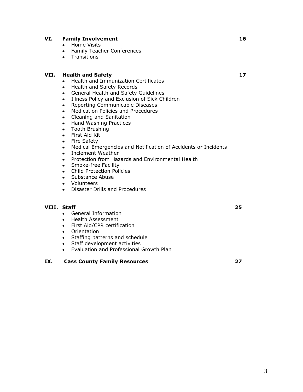#### **VI. Family Involvement 16**

- Home Visits
- Family Teacher Conferences
- Transitions

#### **VII. Health and Safety 17**

- Health and Immunization Certificates
- Health and Safety Records
- General Health and Safety Guidelines
- Illness Policy and Exclusion of Sick Children
- Reporting Communicable Diseases
- Medication Policies and Procedures
- Cleaning and Sanitation
- Hand Washing Practices
- Tooth Brushing
- First Aid Kit
- Fire Safety
- Medical Emergencies and Notification of Accidents or Incidents
- Inclement Weather
- Protection from Hazards and Environmental Health
- Smoke-free Facility
- Child Protection Policies
- Substance Abuse
- Volunteers
- Disaster Drills and Procedures

#### **VIII. Staff 25**

- General Information
- Health Assessment
- First Aid/CPR certification
- Orientation
- Staffing patterns and schedule
- Staff development activities
- Evaluation and Professional Growth Plan

#### **IX. Cass County Family Resources 27**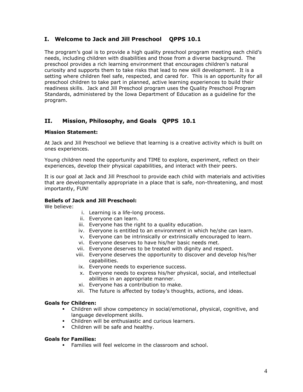### **I. Welcome to Jack and Jill Preschool QPPS 10.1**

The program's goal is to provide a high quality preschool program meeting each child's needs, including children with disabilities and those from a diverse background. The preschool provides a rich learning environment that encourages children's natural curiosity and supports them to take risks that lead to new skill development. It is a setting where children feel safe, respected, and cared for. This is an opportunity for all preschool children to take part in planned, active learning experiences to build their readiness skills. Jack and Jill Preschool program uses the Quality Preschool Program Standards, administered by the Iowa Department of Education as a guideline for the program.

## **II. Mission, Philosophy, and Goals QPPS 10.1**

#### **Mission Statement:**

At Jack and Jill Preschool we believe that learning is a creative activity which is built on ones experiences.

Young children need the opportunity and TIME to explore, experiment, reflect on their experiences, develop their physical capabilities, and interact with their peers.

It is our goal at Jack and Jill Preschool to provide each child with materials and activities that are developmentally appropriate in a place that is safe, non-threatening, and most importantly, FUN!

#### **Beliefs of Jack and Jill Preschool:**

We believe:

- i. Learning is a life-long process.
- ii. Everyone can learn.
- iii. Everyone has the right to a quality education.
- iv. Everyone is entitled to an environment in which he/she can learn.
- v. Everyone can be intrinsically or extrinsically encouraged to learn.
- vi. Everyone deserves to have his/her basic needs met.
- vii. Everyone deserves to be treated with dignity and respect.
- viii. Everyone deserves the opportunity to discover and develop his/her capabilities.
- ix. Everyone needs to experience success.
- x. Everyone needs to express his/her physical, social, and intellectual abilities in an appropriate manner.
- xi. Everyone has a contribution to make.
- xii. The future is affected by today's thoughts, actions, and ideas.

#### **Goals for Children:**

- Children will show competency in social/emotional, physical, cognitive, and language development skills.
- Children will be enthusiastic and curious learners.
- Children will be safe and healthy.

#### **Goals for Families:**

**• Families will feel welcome in the classroom and school.**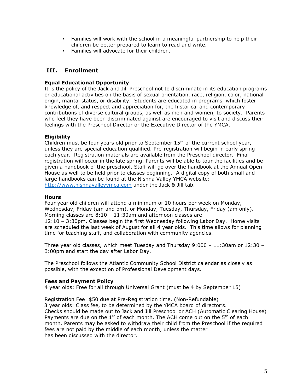- **•** Families will work with the school in a meaningful partnership to help their children be better prepared to learn to read and write.
- Families will advocate for their children.

## **III. Enrollment**

#### **Equal Educational Opportunity**

It is the policy of the Jack and Jill Preschool not to discriminate in its education programs or educational activities on the basis of sexual orientation, race, religion, color, national origin, marital status, or disability. Students are educated in programs, which foster knowledge of, and respect and appreciation for, the historical and contemporary contributions of diverse cultural groups, as well as men and women, to society. Parents who feel they have been discriminated against are encouraged to visit and discuss their feelings with the Preschool Director or the Executive Director of the YMCA.

#### **Eligibility**

Children must be four years old prior to September  $15<sup>th</sup>$  of the current school year, unless they are special education qualified. Pre-registration will begin in early spring each year. Registration materials are available from the Preschool director. Final registration will occur in the late spring. Parents will be able to tour the facilities and be given a handbook of the preschool. Staff will go over the handbook at the Annual Open House as well to be held prior to classes beginning. A digital copy of both small and large handbooks can be found at the Nishna Valley YMCA website: [http://www.nishnavalleyymca.com](http://www.nishnavalleyymca.com/) under the Jack & Jill tab.

#### **Hours**

Four year old children will attend a minimum of 10 hours per week on Monday, Wednesday, Friday (am and pm), or Monday, Tuesday, Thursday, Friday (am only). Morning classes are 8:10 – 11:30am and afternoon classes are 12:10 – 3:30pm. Classes begin the first Wednesday following Labor Day. Home visits are scheduled the last week of August for all 4 year olds. This time allows for planning time for teaching staff, and collaboration with community agencies.

Three year old classes, which meet Tuesday and Thursday 9:000 – 11:30am or 12:30 – 3:00pm and start the day after Labor Day.

The Preschool follows the Atlantic Community School District calendar as closely as possible, with the exception of Professional Development days.

#### **Fees and Payment Policy**

4 year olds: Free for all through Universal Grant (must be 4 by September 15)

Registration Fee: \$50 due at Pre-Registration time. (Non-Refundable) 3 year olds: Class fee, to be determined by the YMCA board of director's. Checks should be made out to Jack and Jill Preschool or ACH (Automatic Clearing House) Payments are due on the  $1^{st}$  of each month. The ACH come out on the  $5^{th}$  of each month. Parents may be asked to withdraw their child from the Preschool if the required fees are not paid by the middle of each month, unless the matter has been discussed with the director.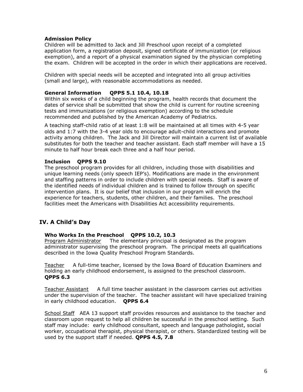#### **Admission Policy**

Children will be admitted to Jack and Jill Preschool upon receipt of a completed application form, a registration deposit, signed certificate of immunization (or religious exemption), and a report of a physical examination signed by the physician completing the exam. Children will be accepted in the order in which their applications are received.

Children with special needs will be accepted and integrated into all group activities (small and large), with reasonable accommodations as needed.

#### **General Information QPPS 5.1 10.4, 10.18**

Within six weeks of a child beginning the program, health records that document the dates of service shall be submitted that show the child is current for routine screening tests and immunizations (or religious exemption) according to the schedule recommended and published by the American Academy of Pediatrics.

A teaching staff-child ratio of at least 1:8 will be maintained at all times with 4-5 year olds and 1:7 with the 3-4 year olds to encourage adult-child interactions and promote activity among children. The Jack and Jill Director will maintain a current list of available substitutes for both the teacher and teacher assistant. Each staff member will have a 15 minute to half hour break each three and a half hour period.

#### **Inclusion QPPS 9.10**

The preschool program provides for all children, including those with disabilities and unique learning needs (only speech IEP's). Modifications are made in the environment and staffing patterns in order to include children with special needs. Staff is aware of the identified needs of individual children and is trained to follow through on specific intervention plans. It is our belief that inclusion in our program will enrich the experience for teachers, students, other children, and their families. The preschool facilities meet the Americans with Disabilities Act accessibility requirements.

### **IV. A Child's Day**

#### **Who Works In the Preschool QPPS 10.2, 10.3**

Program Administrator The elementary principal is designated as the program administrator supervising the preschool program. The principal meets all qualifications described in the Iowa Quality Preschool Program Standards.

Teacher A full-time teacher, licensed by the Iowa Board of Education Examiners and holding an early childhood endorsement, is assigned to the preschool classroom. **QPPS 6.3**

Teacher Assistant A full time teacher assistant in the classroom carries out activities under the supervision of the teacher. The teacher assistant will have specialized training in early childhood education. **QPPS 6.4**

School Staff AEA 13 support staff provides resources and assistance to the teacher and classroom upon request to help all children be successful in the preschool setting. Such staff may include: early childhood consultant, speech and language pathologist, social worker, occupational therapist, physical therapist, or others. Standardized testing will be used by the support staff if needed. **QPPS 4.5, 7.8**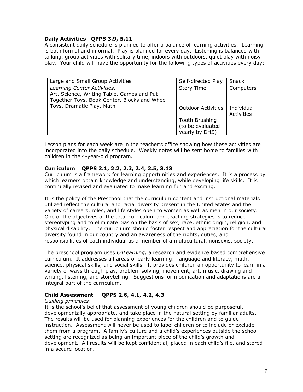#### **Daily Activities QPPS 3.9, 5.11**

A consistent daily schedule is planned to offer a balance of learning activities. Learning is both formal and informal. Play is planned for every day. Listening is balanced with talking, group activities with solitary time, indoors with outdoors, quiet play with noisy play. Your child will have the opportunity for the following types of activities every day:

| Large and Small Group Activities                                                                                                                       | Self-directed Play                                          | Snack                    |
|--------------------------------------------------------------------------------------------------------------------------------------------------------|-------------------------------------------------------------|--------------------------|
| Learning Center Activities:<br>Art, Science, Writing Table, Games and Put<br>Together Toys, Book Center, Blocks and Wheel<br>Toys, Dramatic Play, Math | <b>Story Time</b>                                           | Computers                |
|                                                                                                                                                        | <b>Outdoor Activities</b>                                   | Individual<br>Activities |
|                                                                                                                                                        | <b>Tooth Brushing</b><br>(to be evaluated<br>yearly by DHS) |                          |

Lesson plans for each week are in the teacher's office showing how these activities are incorporated into the daily schedule. Weekly notes will be sent home to families with children in the 4-year-old program.

#### **Curriculum QPPS 2.1, 2.2, 2.3, 2.4, 2.5, 3.13**

Curriculum is a framework for learning opportunities and experiences. It is a process by which learners obtain knowledge and understanding, while developing life skills. It is continually revised and evaluated to make learning fun and exciting.

It is the policy of the Preschool that the curriculum content and instructional materials utilized reflect the cultural and racial diversity present in the United States and the variety of careers, roles, and life styles open to women as well as men in our society. One of the objectives of the total curriculum and teaching strategies is to reduce stereotyping and to eliminate bias on the basis of sex, race, ethnic origin, religion, and physical disability. The curriculum should foster respect and appreciation for the cultural diversity found in our country and an awareness of the rights, duties, and responsibilities of each individual as a member of a multicultural, nonsexist society.

The preschool program uses *C4Learning,* a research and evidence based comprehensive curriculum. It addresses all areas of early learning: language and literacy, math, science, physical skills, and social skills. It provides children an opportunity to learn in a variety of ways through play, problem solving, movement, art, music, drawing and writing, listening, and storytelling. Suggestions for modification and adaptations are an integral part of the curriculum.

#### **Child Assessment QPPS 2.6, 4.1, 4.2, 4.3**

#### *Guiding principles*:

It is the school's belief that assessment of young children should be purposeful, developmentally appropriate, and take place in the natural setting by familiar adults. The results will be used for planning experiences for the children and to guide instruction. Assessment will never be used to label children or to include or exclude them from a program. A family's culture and a child's experiences outside the school setting are recognized as being an important piece of the child's growth and development. All results will be kept confidential, placed in each child's file, and stored in a secure location.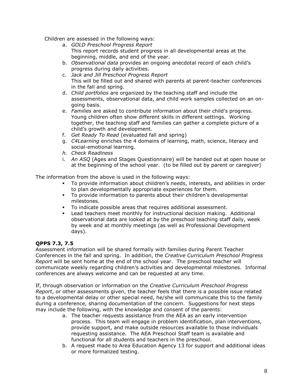Children are assessed in the following ways:

- a. *GOLD Preschool Progress Report* This report records student progress in all developmental areas at the beginning, middle, and end of the year.
- b. *Observational data* provides an ongoing anecdotal record of each child's progress during daily activities.
- c. *Jack and Jill Preschool Progress Report* This will be filled out and shared with parents at parent-teacher conferences in the fall and spring.
- d. *Child portfolios* are organized by the teaching staff and include the assessments, observational data, and child work samples collected on an ongoing basis.
- e. *Families* are asked to contribute information about their child's progress. Young children often show different skills in different settings. Working together, the teaching staff and families can gather a complete picture of a child's growth and development.
- f. *Get Ready To Read* (evaluated fall and spring)
- g. *C4Learning* enriches the 4 domains of learning, math, science, literacy and social-emotional learning.
- *h. Check Readiness*
- i. *An ASQ* (Ages and Stages Questionnaire) will be handed out at open house or at the beginning of the school year. (to be filled out by parent or caregiver)

The information from the above is used in the following ways:

- To provide information about children's needs, interests, and abilities in order to plan developmentally appropriate experiences for them.
- To provide information to parents about their children's developmental milestones.
- To indicate possible areas that requires additional assessment.
- Lead teachers meet monthly for instructional decision making. Additional observational data are looked at by the preschool teaching staff daily, week by week and at monthly meetings (as well as Professional Development days).

#### **QPPS 7.3, 7.5**

Assessment information will be shared formally with families during Parent Teacher Conferences in the fall and spring. In addition, the *Creative Curriculum Preschool Progress Report* will be sent home at the end of the school year. The preschool teacher will communicate weekly regarding children's activities and developmental milestones. Informal conferences are always welcome and can be requested at any time.

If, through observation or information on the *Creative Curriculum Preschool Progress Report*, or other assessments given, the teacher feels that there is a possible issue related to a developmental delay or other special need, he/she will communicate this to the family during a conference, sharing documentation of the concern. Suggestions for next steps may include the following, with the knowledge and consent of the parents:

- a. The teacher requests assistance from the AEA as an early intervention process. This team will engage in problem identification, plan interventions, provide support, and make outside resources available to those individuals requesting assistance. The AEA Preschool Staff team is available and functional for all students and teachers in the preschool.
- b. A request made to Area Education Agency 13 for support and additional ideas or more formalized testing.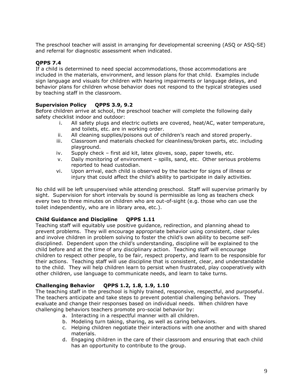The preschool teacher will assist in arranging for developmental screening (ASQ or ASQ-SE) and referral for diagnostic assessment when indicated.

### **QPPS 7.4**

If a child is determined to need special accommodations, those accommodations are included in the materials, environment, and lesson plans for that child. Examples include sign language and visuals for children with hearing impairments or language delays, and behavior plans for children whose behavior does not respond to the typical strategies used by teaching staff in the classroom.

#### **Supervision Policy QPPS 3.9, 9.2**

Before children arrive at school, the preschool teacher will complete the following daily safety checklist indoor and outdoor:

- i. All safety plugs and electric outlets are covered, heat/AC, water temperature, and toilets, etc. are in working order.
- ii. All cleaning supplies/poisons out of children's reach and stored properly.
- iii. Classroom and materials checked for cleanliness/broken parts, etc. including playground.
- iv. Supply check first aid kit, latex gloves, soap, paper towels, etc.
- v. Daily monitoring of environment spills, sand, etc. Other serious problems reported to head custodian.
- vi. Upon arrival, each child is observed by the teacher for signs of illness or injury that could affect the child's ability to participate in daily activities.

No child will be left unsupervised while attending preschool. Staff will supervise primarily by sight. Supervision for short intervals by sound is permissible as long as teachers check every two to three minutes on children who are out-of-sight (e.g. those who can use the toilet independently, who are in library area, etc.).

#### **Child Guidance and Discipline QPPS 1.11**

Teaching staff will equitably use positive guidance, redirection, and planning ahead to prevent problems. They will encourage appropriate behavior using consistent, clear rules and involve children in problem solving to foster the child's own ability to become selfdisciplined. Dependent upon the child's understanding, discipline will be explained to the child before and at the time of any disciplinary action. Teaching staff will encourage children to respect other people, to be fair, respect property, and learn to be responsible for their actions. Teaching staff will use discipline that is consistent, clear, and understandable to the child. They will help children learn to persist when frustrated, play cooperatively with other children, use language to communicate needs, and learn to take turns.

#### **Challenging Behavior QPPS 1.2, 1.8, 1.9, 1.10**

The teaching staff in the preschool is highly trained, responsive, respectful, and purposeful. The teachers anticipate and take steps to prevent potential challenging behaviors. They evaluate and change their responses based on individual needs. When children have challenging behaviors teachers promote pro-social behavior by:

- a. Interacting in a respectful manner with all children.
- b. Modeling turn taking, sharing, as well as caring behaviors.
- c. Helping children negotiate their interactions with one another and with shared materials.
- d. Engaging children in the care of their classroom and ensuring that each child has an opportunity to contribute to the group.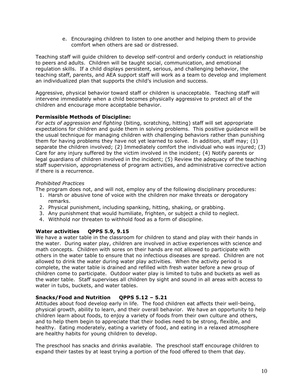e. Encouraging children to listen to one another and helping them to provide comfort when others are sad or distressed.

Teaching staff will guide children to develop self-control and orderly conduct in relationship to peers and adults. Children will be taught social, communication, and emotional regulation skills. If a child displays persistent, serious, and challenging behavior, the teaching staff, parents, and AEA support staff will work as a team to develop and implement an individualized plan that supports the child's inclusion and success.

Aggressive, physical behavior toward staff or children is unacceptable. Teaching staff will intervene immediately when a child becomes physically aggressive to protect all of the children and encourage more acceptable behavior.

#### **Permissible Methods of Discipline:**

*For acts of aggression and fighting* (biting, scratching, hitting) staff will set appropriate expectations for children and guide them in solving problems. This positive guidance will be the usual technique for managing children with challenging behaviors rather than punishing them for having problems they have not yet learned to solve. In addition, staff may; (1) separate the children involved; (2) Immediately comfort the individual who was injured; (3) Care for any injury suffered by the victim involved in the incident; (4) Notify parents or legal guardians of children involved in the incident; (5) Review the adequacy of the teaching staff supervision, appropriateness of program activities, and administrative corrective action if there is a recurrence.

### *Prohibited Practices*

The program does not, and will not, employ any of the following disciplinary procedures:

- 1. Harsh or abusive tone of voice with the children nor make threats or derogatory remarks.
- 2. Physical punishment, including spanking, hitting, shaking, or grabbing.
- 3. Any punishment that would humiliate, frighten, or subject a child to neglect.
- 4. Withhold nor threaten to withhold food as a form of discipline.

### **Water activities QPPS 5.9, 9.15**

We have a water table in the classroom for children to stand and play with their hands in the water. During water play, children are involved in active experiences with science and math concepts. Children with sores on their hands are not allowed to participate with others in the water table to ensure that no infectious diseases are spread. Children are not allowed to drink the water during water play activities. When the activity period is complete, the water table is drained and refilled with fresh water before a new group of children come to participate. Outdoor water play is limited to tubs and buckets as well as the water table. Staff supervises all children by sight and sound in all areas with access to water in tubs, buckets, and water tables.

#### **Snacks/Food and Nutrition QPPS 5.12 – 5.21**

Attitudes about food develop early in life. The food children eat affects their well-being, physical growth, ability to learn, and their overall behavior. We have an opportunity to help children learn about foods, to enjoy a variety of foods from their own culture and others, and to help them begin to appreciate that their bodies need to be strong, flexible, and healthy. Eating moderately, eating a variety of food, and eating in a relaxed atmosphere are healthy habits for young children to develop.

The preschool has snacks and drinks available. The preschool staff encourage children to expand their tastes by at least trying a portion of the food offered to them that day.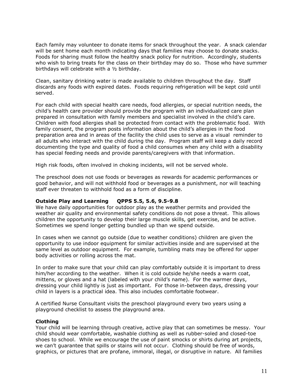Each family may volunteer to donate items for snack throughout the year. A snack calendar will be sent home each month indicating days that families may choose to donate snacks. Foods for sharing must follow the healthy snack policy for nutrition. Accordingly, students who wish to bring treats for the class on their birthday may do so. Those who have summer birthdays will celebrate with a ½ birthday.

Clean, sanitary drinking water is made available to children throughout the day. Staff discards any foods with expired dates. Foods requiring refrigeration will be kept cold until served.

For each child with special health care needs, food allergies, or special nutrition needs, the child's health care provider should provide the program with an individualized care plan prepared in consultation with family members and specialist involved in the child's care. Children with food allergies shall be protected from contact with the problematic food. With family consent, the program posts information about the child's allergies in the food preparation area and in areas of the facility the child uses to serve as a visual reminder to all adults who interact with the child during the day. Program staff will keep a daily record documenting the type and quality of food a child consumes when any child with a disability has special feeding needs and provide parents/caregivers with that information.

High risk foods, often involved in choking incidents, will not be served whole.

The preschool does not use foods or beverages as rewards for academic performances or good behavior, and will not withhold food or beverages as a punishment, nor will teaching staff ever threaten to withhold food as a form of discipline.

#### **Outside Play and Learning QPPS 5.5, 5.6, 9.5-9.8**

We have daily opportunities for outdoor play as the weather permits and provided the weather air quality and environmental safety conditions do not pose a threat. This allows children the opportunity to develop their large muscle skills, get exercise, and be active. Sometimes we spend longer getting bundled up than we spend outside.

In cases when we cannot go outside (due to weather conditions) children are given the opportunity to use indoor equipment for similar activities inside and are supervised at the same level as outdoor equipment. For example, tumbling mats may be offered for upper body activities or rolling across the mat.

In order to make sure that your child can play comfortably outside it is important to dress him/her according to the weather. When it is cold outside he/she needs a warm coat, mittens, or gloves and a hat (labeled with your child's name). For the warmer days, dressing your child lightly is just as important. For those in-between days, dressing your child in layers is a practical idea. This also includes comfortable footwear.

A certified Nurse Consultant visits the preschool playground every two years using a playground checklist to assess the playground area.

#### **Clothing**

Your child will be learning through creative, active play that can sometimes be messy. Your child should wear comfortable, washable clothing as well as rubber-soled and closed-toe shoes to school. While we encourage the use of paint smocks or shirts during art projects, we can't guarantee that spills or stains will not occur. Clothing should be free of words, graphics, or pictures that are profane, immoral, illegal, or disruptive in nature. All families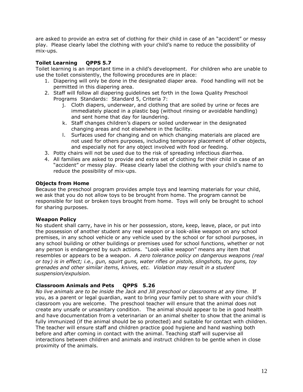are asked to provide an extra set of clothing for their child in case of an "accident" or messy play. Please clearly label the clothing with your child's name to reduce the possibility of mix-ups.

#### **Toilet Learning QPPS 5.7**

Toilet learning is an important time in a child's development. For children who are unable to use the toilet consistently, the following procedures are in place:

- 1. Diapering will only be done in the designated diaper area. Food handling will not be permitted in this diapering area.
- 2. Staff will follow all diapering guidelines set forth in the Iowa Quality Preschool Programs Standards: Standard 5, Criteria 7:
	- j. Cloth diapers, underwear, and clothing that are soiled by urine or feces are immediately placed in a plastic bag (without rinsing or avoidable handling) and sent home that day for laundering.
	- k. Staff changes children's diapers or soiled underwear in the designated changing areas and not elsewhere in the facility.
	- l. Surfaces used for changing and on which changing materials are placed are not used for others purposes, including temporary placement of other objects, and especially not for any object involved with food or feeding.
- 3. Potty chairs will not be used due to the risk of spreading infectious diarrhea.
- 4. All families are asked to provide and extra set of clothing for their child in case of an "accident" or messy play. Please clearly label the clothing with your child's name to reduce the possibility of mix-ups.

#### **Objects from Home**

Because the preschool program provides ample toys and learning materials for your child, we ask that you do not allow toys to be brought from home. The program cannot be responsible for lost or broken toys brought from home. Toys will only be brought to school for sharing purposes.

#### **Weapon Policy**

No student shall carry, have in his or her possession, store, keep, leave, place, or put into the possession of another student any real weapon or a look-alike weapon on any school premises, in any school vehicle or any vehicle used by the school or for school purposes, in any school building or other buildings or premises used for school functions, whether or not any person is endangered by such actions. "Look-alike weapon" means any item that resembles or appears to be a weapon. *A zero tolerance policy on dangerous weapons (real or toy) is in effect; i.e., gun, squirt guns, water rifles or pistols, slingshots, toy guns, toy grenades and other similar items, knives, etc. Violation may result in a student suspension/expulsion.*

#### **Classroom Animals and Pets QPPS 5.26**

*No live animals are to be inside the Jack and Jill preschool or classrooms at any time.*If you, as a parent or legal guardian, want to bring your family pet to share with your child's classroom you are welcome. The preschool teacher will ensure that the animal does not create any unsafe or unsanitary condition. The animal should appear to be in good health and have documentation from a veterinarian or an animal shelter to show that the animal is fully immunized (if the animal should be so protected) and suitable for contact with children. The teacher will ensure staff and children practice good hygiene and hand washing both before and after coming in contact with the animal. Teaching staff will supervise all interactions between children and animals and instruct children to be gentle when in close proximity of the animals.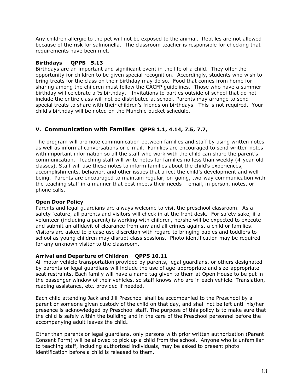Any children allergic to the pet will not be exposed to the animal. Reptiles are not allowed because of the risk for salmonella. The classroom teacher is responsible for checking that requirements have been met.

#### **Birthdays QPPS 5.13**

Birthdays are an important and significant event in the life of a child. They offer the opportunity for children to be given special recognition. Accordingly, students who wish to bring treats for the class on their birthday may do so. Food that comes from home for sharing among the children must follow the CACFP guidelines. Those who have a summer birthday will celebrate a ½ birthday. Invitations to parties outside of school that do not include the entire class will not be distributed at school. Parents may arrange to send special treats to share with their children's friends on birthdays. This is not required. Your child's birthday will be noted on the Munchie bucket schedule.

### **V. Communication with Families QPPS 1.1, 4.14, 7.5, 7.7,**

The program will promote communication between families and staff by using written notes as well as informal conversations or e-mail. Families are encouraged to send written notes with important information so all the staff who work with the child can share the parent's communication. Teaching staff will write notes for families no less than weekly (4-year-old classes). Staff will use these notes to inform families about the child's experiences, accomplishments, behavior, and other issues that affect the child's development and wellbeing. Parents are encouraged to maintain regular, on-going, two-way communication with the teaching staff in a manner that best meets their needs – email, in person, notes, or phone calls.

#### **Open Door Policy**

Parents and legal guardians are always welcome to visit the preschool classroom. As a safety feature, all parents and visitors will check in at the front desk. For safety sake, if a volunteer (including a parent) is working with children, he/she will be expected to execute and submit an affidavit of clearance from any and all crimes against a child or families. Visitors are asked to please use discretion with regard to bringing babies and toddlers to school as young children may disrupt class sessions. Photo identification may be required for any unknown visitor to the classroom.

#### **Arrival and Departure of Children QPPS 10.11**

All motor vehicle transportation provided by parents, legal guardians, or others designated by parents or legal guardians will include the use of age-appropriate and size-appropriate seat restraints. Each family will have a name tag given to them at Open House to be put in the passenger window of their vehicles, so staff knows who are in each vehicle. Translation, reading assistance, etc. provided if needed.

Each child attending Jack and Jill Preschool shall be accompanied to the Preschool by a parent or someone given custody of the child on that day, and shall not be left until his/her presence is acknowledged by Preschool staff. The purpose of this policy is to make sure that the child is safely within the building and in the care of the Preschool personnel before the accompanying adult leaves the child**.**

Other than parents or legal guardians, only persons with prior written authorization (Parent Consent Form) will be allowed to pick up a child from the school. Anyone who is unfamiliar to teaching staff, including authorized individuals, may be asked to present photo identification before a child is released to them.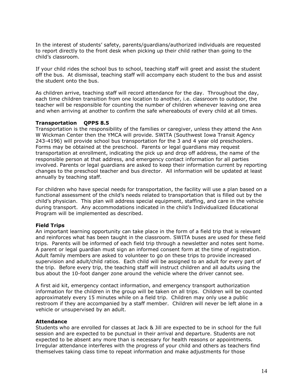In the interest of students' safety, parents/guardians/authorized individuals are requested to report directly to the front desk when picking up their child rather than going to the child's classroom.

If your child rides the school bus to school, teaching staff will greet and assist the student off the bus. At dismissal, teaching staff will accompany each student to the bus and assist the student onto the bus.

As children arrive, teaching staff will record attendance for the day. Throughout the day, each time children transition from one location to another, i.e. classroom to outdoor, the teacher will be responsible for counting the number of children whenever leaving one area and when arriving at another to confirm the safe whereabouts of every child at all times.

#### **Transportation QPPS 8.5**

Transportation is the responsibility of the families or caregiver, unless they attend the Ann W Wickman Center then the YMCA will provide. SWITA (Southwest Iowa Transit Agency 243-4196) will provide school bus transportation for the 3 and 4 year old preschoolers. Forms may be obtained at the preschool. Parents or legal guardians may request transportation at enrollment, indicating the pick up and drop off address, the name of the responsible person at that address, and emergency contact information for all parties involved. Parents or legal guardians are asked to keep their information current by reporting changes to the preschool teacher and bus director. All information will be updated at least annually by teaching staff.

For children who have special needs for transportation, the facility will use a plan based on a functional assessment of the child's needs related to transportation that is filled out by the child's physician. This plan will address special equipment, staffing, and care in the vehicle during transport. Any accommodations indicated in the child's Individualized Educational Program will be implemented as described.

#### **Field Trips**

An important learning opportunity can take place in the form of a field trip that is relevant and reinforces what has been taught in the classroom. SWITA buses are used for these field trips. Parents will be informed of each field trip through a newsletter and notes sent home. A parent or legal guardian must sign an informed consent form at the time of registration. Adult family members are asked to volunteer to go on these trips to provide increased supervision and adult/child ratios. Each child will be assigned to an adult for every part of the trip. Before every trip, the teaching staff will instruct children and all adults using the bus about the 10-foot danger zone around the vehicle where the driver cannot see.

A first aid kit, emergency contact information, and emergency transport authorization information for the children in the group will be taken on all trips. Children will be counted approximately every 15 minutes while on a field trip. Children may only use a public restroom if they are accompanied by a staff member. Children will never be left alone in a vehicle or unsupervised by an adult.

#### **Attendance**

Students who are enrolled for classes at Jack & Jill are expected to be in school for the full session and are expected to be punctual in their arrival and departure. Students are not expected to be absent any more than is necessary for health reasons or appointments. Irregular attendance interferes with the progress of your child and others as teachers find themselves taking class time to repeat information and make adjustments for those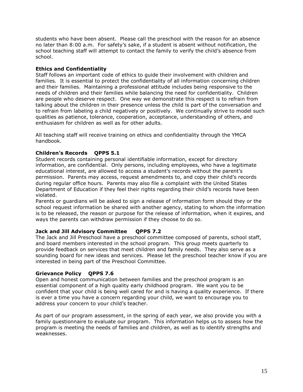students who have been absent. Please call the preschool with the reason for an absence no later than 8:00 a.m. For safety's sake, if a student is absent without notification, the school teaching staff will attempt to contact the family to verify the child's absence from school.

#### **Ethics and Confidentiality**

Staff follows an important code of ethics to guide their involvement with children and families. It is essential to protect the confidentiality of all information concerning children and their families. Maintaining a professional attitude includes being responsive to the needs of children and their families while balancing the need for confidentiality. Children are people who deserve respect. One way we demonstrate this respect is to refrain from talking about the children in their presence unless the child is part of the conversation and to refrain from labeling a child negatively or positively. We continually strive to model such qualities as patience, tolerance, cooperation, acceptance, understanding of others, and enthusiasm for children as well as for other adults.

All teaching staff will receive training on ethics and confidentiality through the YMCA handbook.

#### **Children's Records QPPS 5.1**

Student records containing personal identifiable information, except for directory information, are confidential. Only persons, including employees, who have a legitimate educational interest, are allowed to access a student's records without the parent's permission. Parents may access, request amendments to, and copy their child's records during regular office hours. Parents may also file a complaint with the United States Department of Education if they feel their rights regarding their child's records have been violated.

Parents or guardians will be asked to sign a release of information form should they or the school request information be shared with another agency, stating to whom the information is to be released, the reason or purpose for the release of information, when it expires, and ways the parents can withdraw permission if they choose to do so.

#### **Jack and Jill Advisory Committee QPPS 7.2**

The Jack and Jill Preschool have a preschool committee composed of parents, school staff, and board members interested in the school program. This group meets quarterly to provide feedback on services that meet children and family needs. They also serve as a sounding board for new ideas and services. Please let the preschool teacher know if you are interested in being part of the Preschool Committee.

#### **Grievance Policy QPPS 7.6**

Open and honest communication between families and the preschool program is an essential component of a high quality early childhood program. We want you to be confident that your child is being well cared for and is having a quality experience. If there is ever a time you have a concern regarding your child, we want to encourage you to address your concern to your child's teacher.

As part of our program assessment, in the spring of each year, we also provide you with a family questionnaire to evaluate our program. This information helps us to assess how the program is meeting the needs of families and children, as well as to identify strengths and weaknesses.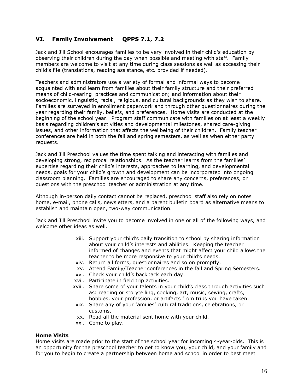# **VI. Family Involvement QPPS 7.1, 7.2**

Jack and Jill School encourages families to be very involved in their child's education by observing their children during the day when possible and meeting with staff. Family members are welcome to visit at any time during class sessions as well as accessing their child's file (translations, reading assistance, etc. provided if needed).

Teachers and administrators use a variety of formal and informal ways to become acquainted with and learn from families about their family structure and their preferred means of child-rearing practices and communication; and information about their socioeconomic, linguistic, racial, religious, and cultural backgrounds as they wish to share. Families are surveyed in enrollment paperwork and through other questionnaires during the year regarding their family, beliefs, and preferences. Home visits are conducted at the beginning of the school year. Program staff communicate with families on at least a weekly basis regarding children's activities and developmental milestones, shared care-giving issues, and other information that affects the wellbeing of their children. Family teacher conferences are held in both the fall and spring semesters, as well as when either party requests.

Jack and Jill Preschool values the time spent talking and interacting with families and developing strong, reciprocal relationships. As the teacher learns from the families' expertise regarding their child's interests, approaches to learning, and developmental needs, goals for your child's growth and development can be incorporated into ongoing classroom planning. Families are encouraged to share any concerns, preferences, or questions with the preschool teacher or administration at any time.

Although in-person daily contact cannot be replaced, preschool staff also rely on notes home, e-mail, phone calls, newsletters, and a parent bulletin board as alternative means to establish and maintain open, two-way communication.

Jack and Jill Preschool invite you to become involved in one or all of the following ways, and welcome other ideas as well.

- xiii. Support your child's daily transition to school by sharing information about your child's interests and abilities. Keeping the teacher informed of changes and events that might affect your child allows the teacher to be more responsive to your child's needs.
- xiv. Return all forms, questionnaires and so on promptly.
- xv. Attend Family/Teacher conferences in the fall and Spring Semesters.
- xvi. Check your child's backpack each day.
- xvii. Participate in field trip activities.
- xviii. Share some of your talents in your child's class through activities such as: reading or storytelling, cooking, art, music, sewing, crafts, hobbies, your profession, or artifacts from trips you have taken.
- xix. Share any of your families' cultural traditions, celebrations, or customs.
- xx. Read all the material sent home with your child.
- xxi. Come to play.

#### **Home Visits**

Home visits are made prior to the start of the school year for incoming 4-year-olds. This is an opportunity for the preschool teacher to get to know you, your child, and your family and for you to begin to create a partnership between home and school in order to best meet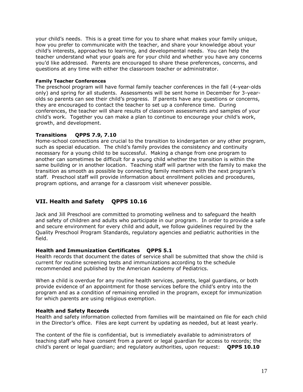your child's needs. This is a great time for you to share what makes your family unique, how you prefer to communicate with the teacher, and share your knowledge about your child's interests, approaches to learning, and developmental needs. You can help the teacher understand what your goals are for your child and whether you have any concerns you'd like addressed. Parents are encouraged to share these preferences, concerns, and questions at any time with either the classroom teacher or administrator.

#### **Family Teacher Conferences**

The preschool program will have formal family teacher conferences in the fall (4-year-olds only) and spring for all students. Assessments will be sent home in December for 3-yearolds so parents can see their child's progress. If parents have any questions or concerns, they are encouraged to contact the teacher to set up a conference time. During conferences, the teacher will share results of classroom assessments and samples of your child's work. Together you can make a plan to continue to encourage your child's work, growth, and development.

#### **Transitions QPPS 7.9, 7.10**

Home-school connections are crucial to the transition to kindergarten or any other program, such as special education. The child's family provides the consistency and continuity necessary for a young child to be successful. Making a change from one program to another can sometimes be difficult for a young child whether the transition is within the same building or in another location. Teaching staff will partner with the family to make the transition as smooth as possible by connecting family members with the next program's staff. Preschool staff will provide information about enrollment policies and procedures, program options, and arrange for a classroom visit whenever possible.

# **VII. Health and Safety QPPS 10.16**

Jack and Jill Preschool are committed to promoting wellness and to safeguard the health and safety of children and adults who participate in our program. In order to provide a safe and secure environment for every child and adult, we follow guidelines required by the Quality Preschool Program Standards, regulatory agencies and pediatric authorities in the field.

#### **Health and Immunization Certificates QPPS 5.1**

Health records that document the dates of service shall be submitted that show the child is current for routine screening tests and immunizations according to the schedule recommended and published by the American Academy of Pediatrics.

When a child is overdue for any routine health services, parents, legal guardians, or both provide evidence of an appointment for those services before the child's entry into the program and as a condition of remaining enrolled in the program, except for immunization for which parents are using religious exemption.

#### **Health and Safety Records**

Health and safety information collected from families will be maintained on file for each child in the Director's office. Files are kept current by updating as needed, but at least yearly.

The content of the file is confidential, but is immediately available to administrators of teaching staff who have consent from a parent or legal guardian for access to records; the child's parent or legal guardian; and regulatory authorities, upon request: **QPPS 10.10**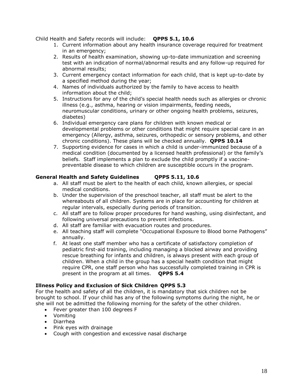Child Health and Safety records will include: **QPPS 5.1, 10.6**

- 1. Current information about any health insurance coverage required for treatment in an emergency;
- 2. Results of health examination, showing up-to-date immunization and screening test with an indication of normal/abnormal results and any follow-up required for abnormal results;
- 3. Current emergency contact information for each child, that is kept up-to-date by a specified method during the year;
- 4. Names of individuals authorized by the family to have access to health information about the child;
- 5. Instructions for any of the child's special health needs such as allergies or chronic illness (e.g., asthma, hearing or vision impairments, feeding needs, neuromuscular conditions, urinary or other ongoing health problems, seizures, diabetes)
- 6. Individual emergency care plans for children with known medical or developmental problems or other conditions that might require special care in an emergency (Allergy, asthma, seizures, orthopedic or sensory problems, and other chronic conditions). These plans will be checked annually. **QPPS 10.14**
- 7. Supporting evidence for cases in which a child is under-immunized because of a medical condition (documented by a licensed health professional) or the family's beliefs. Staff implements a plan to exclude the child promptly if a vaccinepreventable disease to which children are susceptible occurs in the program.

### **General Health and Safety Guidelines QPPS 5.11, 10.6**

- a. All staff must be alert to the health of each child, known allergies, or special medical conditions.
- b. Under the supervision of the preschool teacher, all staff must be alert to the whereabouts of all children. Systems are in place for accounting for children at regular intervals, especially during periods of transition.
- c. All staff are to follow proper procedures for hand washing, using disinfectant, and following universal precautions to prevent infections.
- d. All staff are familiar with evacuation routes and procedures.
- e. All teaching staff will complete "Occupational Exposure to Blood borne Pathogens" annually.
- f. At least one staff member who has a certificate of satisfactory completion of pediatric first-aid training, including managing a blocked airway and providing rescue breathing for infants and children, is always present with each group of children. When a child in the group has a special health condition that might require CPR, one staff person who has successfully completed training in CPR is present in the program at all times. **QPPS 5.4**

#### **Illness Policy and Exclusion of Sick Children QPPS 5.3**

For the health and safety of all the children, it is mandatory that sick children not be brought to school. If your child has any of the following symptoms during the night, he or she will not be admitted the following morning for the safety of the other children.

- Fever greater than 100 degrees F
- Vomiting
- Diarrhea
- Pink eyes with drainage
- Cough with congestion and excessive nasal discharge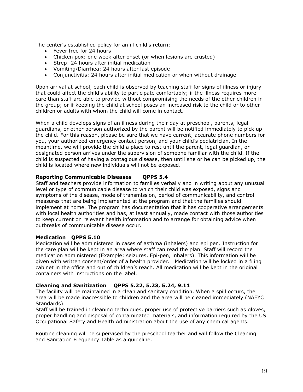The center's established policy for an ill child's return:

- Fever free for 24 hours
- Chicken pox: one week after onset (or when lesions are crusted)
- Strep: 24 hours after initial medication
- Vomiting/Diarrhea: 24 hours after last episode
- Conjunctivitis: 24 hours after initial medication or when without drainage

Upon arrival at school, each child is observed by teaching staff for signs of illness or injury that could affect the child's ability to participate comfortably; if the illness requires more care than staff are able to provide without compromising the needs of the other children in the group; or if keeping the child at school poses an increased risk to the child or to other children or adults with whom the child will come in contact.

When a child develops signs of an illness during their day at preschool, parents, legal guardians, or other person authorized by the parent will be notified immediately to pick up the child. For this reason, please be sure that we have current, accurate phone numbers for you, your authorized emergency contact person, and your child's pediatrician. In the meantime, we will provide the child a place to rest until the parent, legal guardian, or designated person arrives under the supervision of someone familiar with the child. If the child is suspected of having a contagious disease, then until she or he can be picked up, the child is located where new individuals will not be exposed.

#### **Reporting Communicable Diseases QPPS 5.4**

Staff and teachers provide information to families verbally and in writing about any unusual level or type of communicable disease to which their child was exposed, signs and symptoms of the disease, mode of transmission, period of communicability, and control measures that are being implemented at the program and that the families should implement at home. The program has documentation that it has cooperative arrangements with local health authorities and has, at least annually, made contact with those authorities to keep current on relevant health information and to arrange for obtaining advice when outbreaks of communicable disease occur.

#### **Medication QPPS 5.10**

Medication will be administered in cases of asthma (inhalers) and epi pen. Instruction for the care plan will be kept in an area where staff can read the plan. Staff will record the medication administered (Example: seizures, Epi-pen, inhalers). This information will be given with written consent/order of a health provider. Medication will be locked in a filing cabinet in the office and out of children's reach. All medication will be kept in the original containers with instructions on the label.

#### **Cleaning and Sanitization QPPS 5.22, 5.23, 5.24, 9.11**

The facility will be maintained in a clean and sanitary condition. When a spill occurs, the area will be made inaccessible to children and the area will be cleaned immediately (NAEYC Standards).

Staff will be trained in cleaning techniques, proper use of protective barriers such as gloves, proper handling and disposal of contaminated materials, and information required by the US Occupational Safety and Health Administration about the use of any chemical agents.

Routine cleaning will be supervised by the preschool teacher and will follow the Cleaning and Sanitation Frequency Table as a guideline.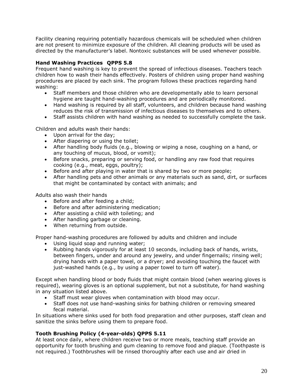Facility cleaning requiring potentially hazardous chemicals will be scheduled when children are not present to minimize exposure of the children. All cleaning products will be used as directed by the manufacturer's label. Nontoxic substances will be used whenever possible.

### **Hand Washing Practices QPPS 5.8**

Frequent hand washing is key to prevent the spread of infectious diseases. Teachers teach children how to wash their hands effectively. Posters of children using proper hand washing procedures are placed by each sink. The program follows these practices regarding hand washing:

- Staff members and those children who are developmentally able to learn personal hygiene are taught hand-washing procedures and are periodically monitored.
- Hand washing is required by all staff, volunteers, and children because hand washing reduces the risk of transmission of infectious diseases to themselves and to others.
- Staff assists children with hand washing as needed to successfully complete the task.

Children and adults wash their hands:

- Upon arrival for the day;
- After diapering or using the toilet;
- After handling body fluids (e.g., blowing or wiping a nose, coughing on a hand, or any touching of mucus, blood, or vomit);
- Before snacks, preparing or serving food, or handling any raw food that requires cooking (e.g., meat, eggs, poultry);
- Before and after playing in water that is shared by two or more people;
- After handling pets and other animals or any materials such as sand, dirt, or surfaces that might be contaminated by contact with animals; and

Adults also wash their hands

- Before and after feeding a child;
- Before and after administering medication;
- After assisting a child with toileting; and
- After handling garbage or cleaning.
- When returning from outside.

Proper hand-washing procedures are followed by adults and children and include

- Using liquid soap and running water:
- Rubbing hands vigorously for at least 10 seconds, including back of hands, wrists, between fingers, under and around any jewelry, and under fingernails; rinsing well; drying hands with a paper towel, or a dryer; and avoiding touching the faucet with just-washed hands (e.g., by using a paper towel to turn off water).

Except when handling blood or body fluids that might contain blood (when wearing gloves is required), wearing gloves is an optional supplement, but not a substitute, for hand washing in any situation listed above.

- Staff must wear gloves when contamination with blood may occur.
- Staff does not use hand-washing sinks for bathing children or removing smeared fecal material.

In situations where sinks used for both food preparation and other purposes, staff clean and sanitize the sinks before using them to prepare food.

#### **Tooth Brushing Policy (4-year-olds) QPPS 5.11**

At least once daily, where children receive two or more meals, teaching staff provide an opportunity for tooth brushing and gum cleaning to remove food and plaque. (Toothpaste is not required.) Toothbrushes will be rinsed thoroughly after each use and air dried in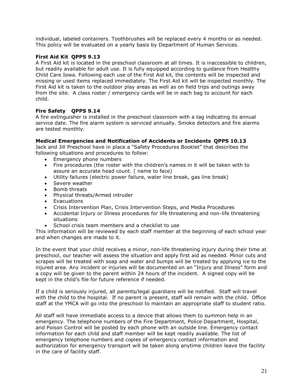individual, labeled containers. Toothbrushes will be replaced every 4 months or as needed. This policy will be evaluated on a yearly basis by Department of Human Services.

#### **First Aid Kit QPPS 9.13**

A First Aid kit is located in the preschool classroom at all times. It is inaccessible to children, but readily available for adult use. It is fully equipped according to guidance from Healthy Child Care Iowa. Following each use of the First Aid kit, the contents will be inspected and missing or used items replaced immediately. The First Aid kit will be inspected monthly. The First Aid kit is taken to the outdoor play areas as well as on field trips and outings away from the site. A class roster / emergency cards will be in each bag to account for each child.

#### **Fire Safety QPPS 9.14**

A fire extinguisher is installed in the preschool classroom with a tag indicating its annual service date. The fire alarm system is serviced annually. Smoke detectors and fire alarms are tested monthly.

#### **Medical Emergencies and Notification of Accidents or Incidents QPPS 10.13**

Jack and Jill Preschool have in place a "Safety Procedures Booklet" that describes the following situations and procedures to follow:

- Emergency phone numbers
- Fire procedures (the roster with the children's names in it will be taken with to assure an accurate head count. ( name to face)
- Utility failures (electric power failure, water line break, gas line break)
- Severe weather
- Bomb threats
- Physical threats/Armed intruder
- Evacuations
- Crisis Intervention Plan, Crisis Intervention Steps, and Media Procedures
- Accidental Injury or Illness procedures for life threatening and non-life threatening situations
- School crisis team members and a checklist to use

This information will be reviewed by each staff member at the beginning of each school year and when changes are made to it.

In the event that your child receives a minor, non-life threatening injury during their time at preschool, our teacher will assess the situation and apply first aid as needed. Minor cuts and scrapes will be treated with soap and water and bumps will be treated by applying ice to the injured area. Any incident or injuries will be documented on an "Injury and Illness" form and a copy will be given to the parent within 24 hours of the incident. A signed copy will be kept in the child's file for future reference if needed.

If a child is seriously injured, all parents/legal guardians will be notified. Staff will travel with the child to the hospital. If no parent is present, staff will remain with the child. Office staff at the YMCA will go into the preschool to maintain an appropriate staff to student ratio.

All staff will have immediate access to a device that allows them to summon help in an emergency. The telephone numbers of the Fire Department, Police Department, Hospital, and Poison Control will be posted by each phone with an outside line. Emergency contact information for each child and staff member will be kept readily available. The list of emergency telephone numbers and copies of emergency contact information and authorization for emergency transport will be taken along anytime children leave the facility in the care of facility staff.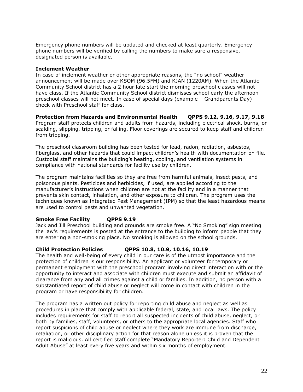Emergency phone numbers will be updated and checked at least quarterly. Emergency phone numbers will be verified by calling the numbers to make sure a responsive, designated person is available.

#### **Inclement Weather**

In case of inclement weather or other appropriate reasons, the "no school" weather announcement will be made over KSOM (96.5FM) and KJAN (1220AM). When the Atlantic Community School district has a 2 hour late start the morning preschool classes will not have class. If the Atlantic Community School district dismisses school early the afternoon preschool classes will not meet. In case of special days (example – Grandparents Day) check with Preschool staff for class.

**Protection from Hazards and Environmental Health QPPS 9.12, 9.16, 9.17, 9.18** Program staff protects children and adults from hazards, including electrical shock, burns, or scalding, slipping, tripping, or falling. Floor coverings are secured to keep staff and children from tripping.

The preschool classroom building has been tested for lead, radon, radiation, asbestos, fiberglass, and other hazards that could impact children's health with documentation on file. Custodial staff maintains the building's heating, cooling, and ventilation systems in compliance with national standards for facility use by children.

The program maintains facilities so they are free from harmful animals, insect pests, and poisonous plants. Pesticides and herbicides, if used, are applied according to the manufacturer's instructions when children are not at the facility and in a manner that prevents skin contact, inhalation, and other exposure to children. The program uses the techniques known as Integrated Pest Management (IPM) so that the least hazardous means are used to control pests and unwanted vegetation.

#### **Smoke Free Facility QPPS 9.19**

Jack and Jill Preschool building and grounds are smoke free. A "No Smoking" sign meeting the law's requirements is posted at the entrance to the building to inform people that they are entering a non-smoking place. No smoking is allowed on the school grounds.

#### **Child Protection Policies QPPS 10.8, 10.9, 10.16, 10.19**

The health and well-being of every child in our care is of the utmost importance and the protection of children is our responsibility. An applicant or volunteer for temporary or permanent employment with the preschool program involving direct interaction with or the opportunity to interact and associate with children must execute and submit an affidavit of clearance from any and all crimes against a child or families. In addition, no person with a substantiated report of child abuse or neglect will come in contact with children in the program or have responsibility for children.

The program has a written out policy for reporting child abuse and neglect as well as procedures in place that comply with applicable federal, state, and local laws. The policy includes requirements for staff to report all suspected incidents of child abuse, neglect, or both by families, staff, volunteers, or others to the appropriate local agencies. Staff who report suspicions of child abuse or neglect where they work are immune from discharge, retaliation, or other disciplinary action for that reason alone unless it is proven that the report is malicious. All certified staff complete "Mandatory Reporter: Child and Dependent Adult Abuse" at least every five years and within six months of employment.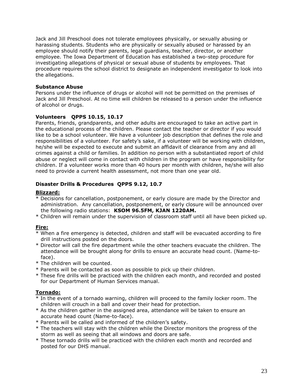Jack and Jill Preschool does not tolerate employees physically, or sexually abusing or harassing students. Students who are physically or sexually abused or harassed by an employee should notify their parents, legal guardians, teacher, director, or another employee. The Iowa Department of Education has established a two-step procedure for investigating allegations of physical or sexual abuse of students by employees. That procedure requires the school district to designate an independent investigator to look into the allegations.

#### **Substance Abuse**

Persons under the influence of drugs or alcohol will not be permitted on the premises of Jack and Jill Preschool. At no time will children be released to a person under the influence of alcohol or drugs.

#### **Volunteers QPPS 10.15, 10.17**

Parents, friends, grandparents, and other adults are encouraged to take an active part in the educational process of the children. Please contact the teacher or director if you would like to be a school volunteer. We have a volunteer job description that defines the role and responsibilities of a volunteer. For safety's sake, if a volunteer will be working with children, he/she will be expected to execute and submit an affidavit of clearance from any and all crimes against a child or families. In addition no person with a substantiated report of child abuse or neglect will come in contact with children in the program or have responsibility for children. If a volunteer works more than 40 hours per month with children, he/she will also need to provide a current health assessment, not more than one year old.

#### **Disaster Drills & Procedures QPPS 9.12, 10.7**

#### **Blizzard:**

- \* Decisions for cancellation, postponement, or early closure are made by the Director and administration. Any cancellation, postponement, or early closure will be announced over the following radio stations: **KSOM 96.5FM, KJAN 1220AM.**
- \* Children will remain under the supervision of classroom staff until all have been picked up.

#### **Fire:**

- \* When a fire emergency is detected, children and staff will be evacuated according to fire drill instructions posted on the doors.
- \* Director will call the fire department while the other teachers evacuate the children. The attendance will be brought along for drills to ensure an accurate head count. (Name-to face).
- \* The children will be counted.
- \* Parents will be contacted as soon as possible to pick up their children.
- \* These fire drills will be practiced with the children each month, and recorded and posted for our Department of Human Services manual.

#### **Tornado:**

- \* In the event of a tornado warning, children will proceed to the family locker room. The children will crouch in a ball and cover their head for protection.
- \* As the children gather in the assigned area, attendance will be taken to ensure an accurate head count (Name-to-face).
- \* Parents will be called and informed of the children's safety.
- \* The teachers will stay with the children while the Director monitors the progress of the storm as well as seeing that all windows and doors are safe.
- \* These tornado drills will be practiced with the children each month and recorded and posted for our DHS manual.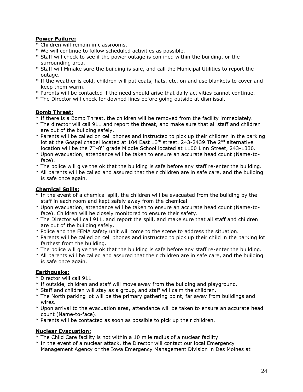#### **Power Failure:**

- \* Children will remain in classrooms.
- \* We will continue to follow scheduled activities as possible.
- \* Staff will check to see if the power outage is confined within the building, or the surrounding area.
- \* Staff will Mmake sure the building is safe, and call the Municipal Utilities to report the outage.
- \* If the weather is cold, children will put coats, hats, etc. on and use blankets to cover and keep them warm.
- \* Parents will be contacted if the need should arise that daily activities cannot continue.
- \* The Director will check for downed lines before going outside at dismissal.

### **Bomb Threat:**

- \* If there is a Bomb Threat, the children will be removed from the facility immediately.
- \* The director will call 911 and report the threat, and make sure that all staff and children are out of the building safely.
- \* Parents will be called on cell phones and instructed to pick up their children in the parking lot at the Gospel chapel located at 104 East  $13<sup>th</sup>$  street. 243-2439. The  $2<sup>nd</sup>$  alternative location will be the  $7<sup>th</sup>$ -8<sup>th</sup> grade Middle School located at 1100 Linn Street, 243-1330.
- \* Upon evacuation, attendance will be taken to ensure an accurate head count (Name-to face).
- \* The police will give the ok that the building is safe before any staff re-enter the building.
- \* All parents will be called and assured that their children are in safe care, and the building is safe once again.

### **Chemical Spills:**

- \* In the event of a chemical spill, the children will be evacuated from the building by the staff in each room and kept safely away from the chemical.
- \* Upon evacuation, attendance will be taken to ensure an accurate head count (Name-to face). Children will be closely monitored to ensure their safety.
- \* The Director will call 911, and report the spill, and make sure that all staff and children are out of the building safely.
- \* Police and the FEMA safety unit will come to the scene to address the situation.
- \* Parents will be called on cell phones and instructed to pick up their child in the parking lot farthest from the building.
- \* The police will give the ok that the building is safe before any staff re-enter the building.
- \* All parents will be called and assured that their children are in safe care, and the building is safe once again.

#### **Earthquake:**

- \* Director will call 911
- \* If outside, children and staff will move away from the building and playground.
- \* Staff and children will stay as a group, and staff will calm the children.
- \* The North parking lot will be the primary gathering point, far away from buildings and wires.
- \* Upon arrival to the evacuation area, attendance will be taken to ensure an accurate head count (Name-to-face).
- \* Parents will be contacted as soon as possible to pick up their children.

#### **Nuclear Evacuation:**

- \* The Child Care facility is not within a 10 mile radius of a nuclear facility.
- \* In the event of a nuclear attack, the Director will contact our local Emergency Management Agency or the Iowa Emergency Management Division in Des Moines at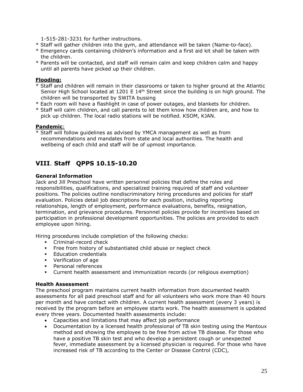1-515-281-3231 for further instructions.

- \* Staff will gather children into the gym, and attendance will be taken (Name-to-face).
- \* Emergency cards containing children's information and a first aid kit shall be taken with the children.
- \* Parents will be contacted, and staff will remain calm and keep children calm and happy until all parents have picked up their children.

#### **Flooding:**

- \* Staff and children will remain in their classrooms or taken to higher ground at the Atlantic Senior High School located at 1201 E  $14<sup>th</sup>$  Street since the building is on high ground. The children will be transported by SWITA bussing
- \* Each room will have a flashlight in case of power outages, and blankets for children.
- \* Staff will calm children, and call parents to let them know how children are, and how to pick up children. The local radio stations will be notified. KSOM, KJAN.

### **Pandemic**:

\* Staff will follow guidelines as advised by YMCA management as well as from recommendations and mandates from state and local authorities. The health and wellbeing of each child and staff will be of upmost importance.

# **VIII**. **Staff QPPS 10.15-10.20**

#### **General Information**

Jack and Jill Preschool have written personnel policies that define the roles and responsibilities, qualifications, and specialized training required of staff and volunteer positions. The policies outline nondiscriminatory hiring procedures and policies for staff evaluation. Policies detail job descriptions for each position, including reporting relationships, length of employment, performance evaluations, benefits, resignation, termination, and grievance procedures. Personnel policies provide for incentives based on participation in professional development opportunities. The policies are provided to each employee upon hiring.

Hiring procedures include completion of the following checks:

- Criminal-record check
- **•** Free from history of substantiated child abuse or neglect check
- **Education credentials**
- Verification of age
- Personal references
- Current health assessment and immunization records (or religious exemption)

#### **Health Assessment**

The preschool program maintains current health information from documented health assessments for all paid preschool staff and for all volunteers who work more than 40 hours per month and have contact with children. A current health assessment (every 3 years) is received by the program before an employee starts work. The health assessment is updated every three years. Documented health assessments include:

- Capacities and limitations that may affect job performance
- Documentation by a licensed health professional of TB skin testing using the Mantoux method and showing the employee to be free from active TB disease. For those who have a positive TB skin test and who develop a persistent cough or unexpected fever, immediate assessment by a licensed physician is required. For those who have increased risk of TB according to the Center or Disease Control (CDC),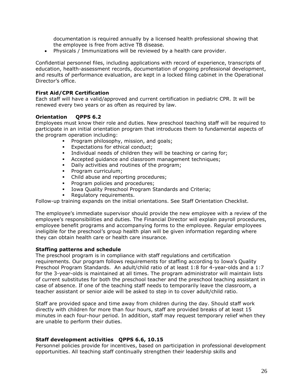documentation is required annually by a licensed health professional showing that the employee is free from active TB disease.

• Physicals / Immunizations will be reviewed by a health care provider.

Confidential personnel files, including applications with record of experience, transcripts of education, health-assessment records, documentation of ongoing professional development, and results of performance evaluation, are kept in a locked filing cabinet in the Operational Director's office.

#### **First Aid/CPR Certification**

Each staff will have a valid/approved and current certification in pediatric CPR. It will be renewed every two years or as often as required by law.

#### **Orientation QPPS 6.2**

Employees must know their role and duties. New preschool teaching staff will be required to participate in an initial orientation program that introduces them to fundamental aspects of the program operation including:

- **•** Program philosophy, mission, and goals;<br>• Expectations for ethical conduct;
- Expectations for ethical conduct;
- **•** Individual needs of children they will be teaching or caring for;
- Accepted guidance and classroom management techniques;
- **•** Daily activities and routines of the program;
- **•** Program curriculum;
- Child abuse and reporting procedures;
- **•** Program policies and procedures;
- **.** Iowa Quality Preschool Program Standards and Criteria;
- Regulatory requirements.

Follow-up training expands on the initial orientations. See Staff Orientation Checklist.

The employee's immediate supervisor should provide the new employee with a review of the employee's responsibilities and duties. The Financial Director will explain payroll procedures, employee benefit programs and accompanying forms to the employee. Regular employees ineligible for the preschool's group health plan will be given information regarding where they can obtain health care or health care insurance.

#### **Staffing patterns and schedule**

The preschool program is in compliance with staff regulations and certification requirements. Our program follows requirements for staffing according to Iowa's Quality Preschool Program Standards. An adult/child ratio of at least 1:8 for 4-year-olds and a 1:7 for the 3-year-olds is maintained at all times. The program administrator will maintain lists of current substitutes for both the preschool teacher and the preschool teaching assistant in case of absence. If one of the teaching staff needs to temporarily leave the classroom, a teacher assistant or senior aide will be asked to step in to cover adult/child ratio.

Staff are provided space and time away from children during the day. Should staff work directly with children for more than four hours, staff are provided breaks of at least 15 minutes in each four-hour period. In addition, staff may request temporary relief when they are unable to perform their duties.

#### **Staff development activities QPPS 6.6, 10.15**

Personnel policies provide for incentives, based on participation in professional development opportunities. All teaching staff continually strengthen their leadership skills and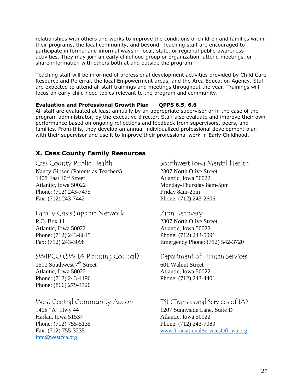relationships with others and works to improve the conditions of children and families within their programs, the local community, and beyond. Teaching staff are encouraged to participate in formal and informal ways in local, state, or regional public-awareness activities. They may join an early childhood group or organization, attend meetings, or share information with others both at and outside the program.

Teaching staff will be informed of professional development activities provided by Child Care Resource and Referral, the local Empowerment areas, and the Area Education Agency. Staff are expected to attend all staff trainings and meetings throughout the year. Trainings will focus on early child hood topics relevant to the program and community.

### **Evaluation and Professional Growth Plan QPPS 6.5, 6.6**

All staff are evaluated at least annually by an appropriate supervisor or in the case of the program administrator, by the executive director. Staff also evaluate and improve their own performance based on ongoing reflections and feedback from supervisors, peers, and families. From this, they develop an annual individualized professional development plan with their supervisor and use it to improve their professional work in Early Childhood.

# **X. Cass County Family Resources**

Nancy Gibson (Parents as Teachers) 2307 North Olive Street 1408 East 10<sup>th</sup> Street Atlantic, Iowa 50022 Atlantic, Iowa 50022 Monday-Thursday 8am-5pm Phone: (712) 243-7475 Friday 8am-2pm Fax: (712) 243-7442 Phone: (712) 243-2606

# Family Crisis Support Network Zion Recovery

P.O. Box 11 2307 North Olive Street Atlantic, Iowa 50022 Atlantic, Iowa 50022 Phone: (712) 243-6615 Phone: (712) 243-5091

# SWIPCO (SW IA Planning Council) Department of Human Services

 $1501$  Southwest  $7<sup>th</sup>$  Street 601 Walnut Street Atlantic, Iowa 50022 Atlantic, Iowa 50022 Phone: (712) 243-4196 Phone: (712) 243-4401 Phone: (866) 279-4720

West Central Community Action TSI (Transitional Services of IA) 1408 "A" Hwy 44 1207 Sunnyside Lane, Suite D Harlan, Iowa 51537 Atlantic, Iowa 50022 Phone: (712) 755-5135 Phone: (712) 243-7089

[info@westcca.org](mailto:info@westcca.org)

# Cass County Public Health Southwest Iowa Mental Health

Fax: (712) 243-3098 Emergency Phone: (712) 542-3720

Fax: (712) 755-3235 [www.TransitionalServicesOfIowa.org](http://www.transitionalservicesofiowa.org/)